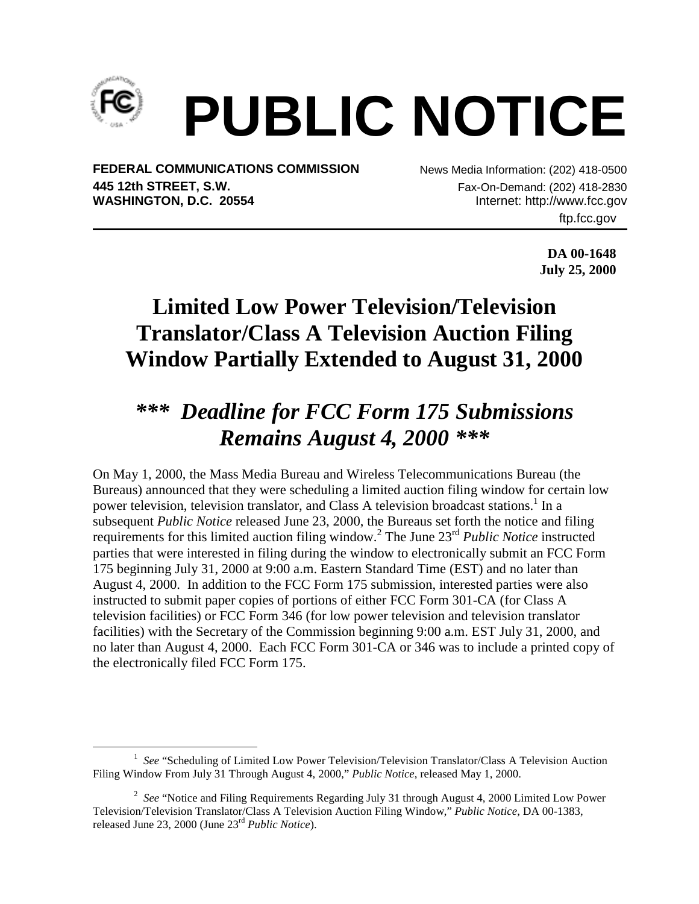

## **PUBLIC NOTICE**

**FEDERAL COMMUNICATIONS COMMISSION** News Media Information: (202) 418-0500 **445 12th STREET, S.W.** Fax-On-Demand: (202) 418-2830 WASHINGTON, D.C. 20554 **Internet: [http://www.fcc.gov](http://www.fcc.gov/)** 

ftp.fcc.gov

**DA 00-1648 July 25, 2000**

## **Limited Low Power Television/Television Translator/Class A Television Auction Filing Window Partially Extended to August 31, 2000**

## *\*\*\* Deadline for FCC Form 175 Submissions Remains August 4, 2000 \*\*\**

On May 1, 2000, the Mass Media Bureau and Wireless Telecommunications Bureau (the Bureaus) announced that they were scheduling a limited auction filing window for certain low power television, television translator, and Class A television broadcast stations.<sup>1</sup> In a subsequent *Public Notice* released June 23, 2000, the Bureaus set forth the notice and filing requirements for this limited auction filing window.<sup>2</sup> The June 23<sup>rd</sup> Public Notice instructed parties that were interested in filing during the window to electronically submit an FCC Form 175 beginning July 31, 2000 at 9:00 a.m. Eastern Standard Time (EST) and no later than August 4, 2000. In addition to the FCC Form 175 submission, interested parties were also instructed to submit paper copies of portions of either FCC Form 301-CA (for Class A television facilities) or FCC Form 346 (for low power television and television translator facilities) with the Secretary of the Commission beginning 9:00 a.m. EST July 31, 2000, and no later than August 4, 2000. Each FCC Form 301-CA or 346 was to include a printed copy of the electronically filed FCC Form 175.

 $\frac{1}{1}$ <sup>1</sup> See "Scheduling of Limited Low Power Television/Television Translator/Class A Television Auction Filing Window From July 31 Through August 4, 2000," *Public Notice*, released May 1, 2000.

<sup>&</sup>lt;sup>2</sup> See "Notice and Filing Requirements Regarding July 31 through August 4, 2000 Limited Low Power Television/Television Translator/Class A Television Auction Filing Window," *Public Notice*, DA 00-1383, released June 23, 2000 (June 23rd *Public Notice*).